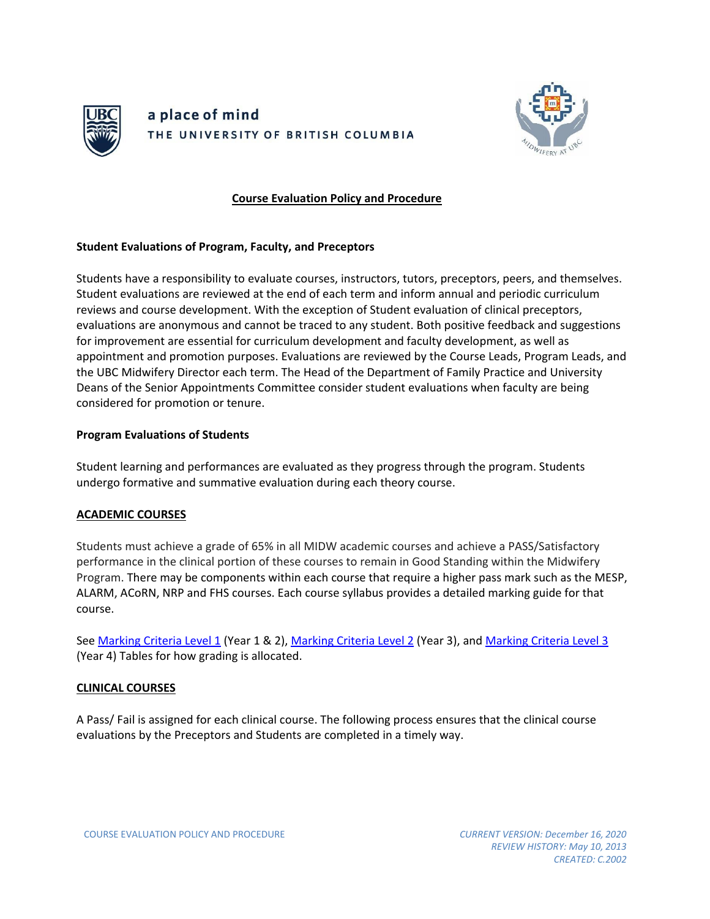



### **Course Evaluation Policy and Procedure**

### **Student Evaluations of Program, Faculty, and Preceptors**

Students have a responsibility to evaluate courses, instructors, tutors, preceptors, peers, and themselves. Student evaluations are reviewed at the end of each term and inform annual and periodic curriculum reviews and course development. With the exception of Student evaluation of clinical preceptors, evaluations are anonymous and cannot be traced to any student. Both positive feedback and suggestions for improvement are essential for curriculum development and faculty development, as well as appointment and promotion purposes. Evaluations are reviewed by the Course Leads, Program Leads, and the UBC Midwifery Director each term. The Head of the Department of Family Practice and University Deans of the Senior Appointments Committee consider student evaluations when faculty are being considered for promotion or tenure.

### **Program Evaluations of Students**

Student learning and performances are evaluated as they progress through the program. Students undergo formative and summative evaluation during each theory course.

# **ACADEMIC COURSES**

Students must achieve a grade of 65% in all MIDW academic courses and achieve a PASS/Satisfactory performance in the clinical portion of these courses to remain in Good Standing within the Midwifery Program. There may be components within each course that require a higher pass mark such as the MESP, ALARM, ACoRN, NRP and FHS courses. Each course syllabus provides a detailed marking guide for that course.

See [Marking Criteria Level 1](https://med-fom-midwifery.sites.olt.ubc.ca/files/2014/06/Marking-Criteria-Level-1.pdf) (Year 1 & 2), [Marking Criteria Level 2](https://med-fom-midwifery.sites.olt.ubc.ca/files/2014/06/Level-2-Year-3-Midwifery-UBC-Marking-Criteria.pdf) (Year 3), and [Marking Criteria Level 3](https://med-fom-midwifery.sites.olt.ubc.ca/files/2014/06/Level-3-Year-4-Marking-Criteria.pdf) (Year 4) Tables for how grading is allocated.

#### **CLINICAL COURSES**

A Pass/ Fail is assigned for each clinical course. The following process ensures that the clinical course evaluations by the Preceptors and Students are completed in a timely way.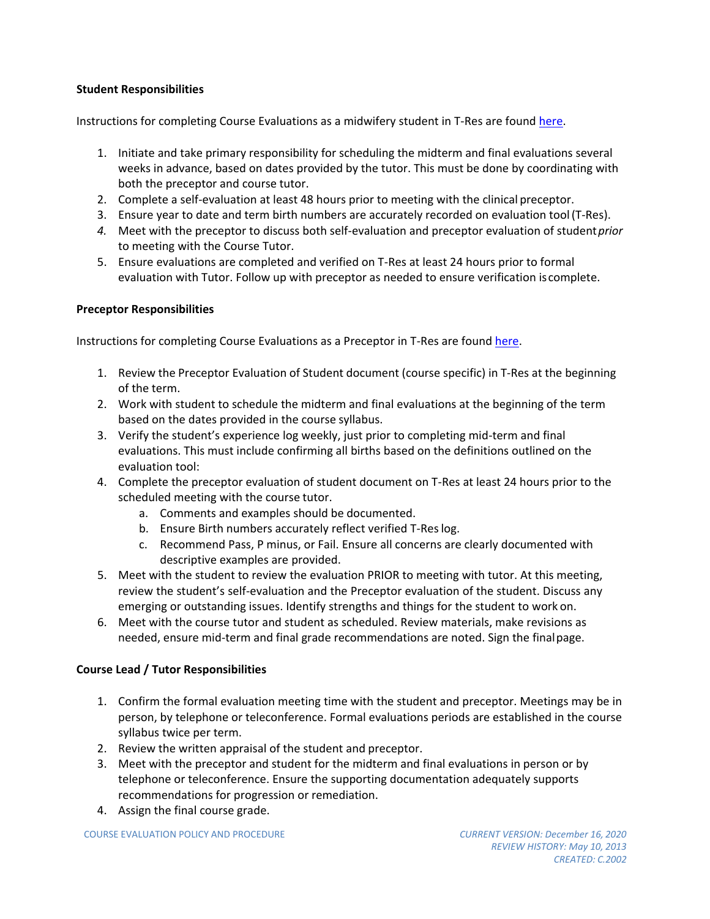# **Student Responsibilities**

Instructions for completing Course Evaluations as a midwifery student in T-Res are found [here.](https://resilience.zendesk.com/hc/en-us/articles/115000723554-Completing-a-Course-Evaluation-as-a-Student-Midwifery-)

- 1. Initiate and take primary responsibility for scheduling the midterm and final evaluations several weeks in advance, based on dates provided by the tutor. This must be done by coordinating with both the preceptor and course tutor.
- 2. Complete a self-evaluation at least 48 hours prior to meeting with the clinical preceptor.
- 3. Ensure year to date and term birth numbers are accurately recorded on evaluation tool(T-Res).
- *4.* Meet with the preceptor to discuss both self-evaluation and preceptor evaluation of student*prior* to meeting with the Course Tutor.
- 5. Ensure evaluations are completed and verified on T-Res at least 24 hours prior to formal evaluation with Tutor. Follow up with preceptor as needed to ensure verification iscomplete.

# **Preceptor Responsibilities**

Instructions for completing Course Evaluations as a Preceptor in T-Res are found [here.](https://resilience.zendesk.com/hc/en-us/articles/115000719493-Completing-a-Course-Evaluation-as-a-Preceptor-Midwifery-)

- 1. Review the Preceptor Evaluation of Student document (course specific) in T-Res at the beginning of the term.
- 2. Work with student to schedule the midterm and final evaluations at the beginning of the term based on the dates provided in the course syllabus.
- 3. Verify the student's experience log weekly, just prior to completing mid-term and final evaluations. This must include confirming all births based on the definitions outlined on the evaluation tool:
- 4. Complete the preceptor evaluation of student document on T-Res at least 24 hours prior to the scheduled meeting with the course tutor.
	- a. Comments and examples should be documented.
	- b. Ensure Birth numbers accurately reflect verified T-Reslog.
	- c. Recommend Pass, P minus, or Fail. Ensure all concerns are clearly documented with descriptive examples are provided.
- 5. Meet with the student to review the evaluation PRIOR to meeting with tutor. At this meeting, review the student's self-evaluation and the Preceptor evaluation of the student. Discuss any emerging or outstanding issues. Identify strengths and things for the student to work on.
- 6. Meet with the course tutor and student as scheduled. Review materials, make revisions as needed, ensure mid-term and final grade recommendations are noted. Sign the finalpage.

# **Course Lead / Tutor Responsibilities**

- 1. Confirm the formal evaluation meeting time with the student and preceptor. Meetings may be in person, by telephone or teleconference. Formal evaluations periods are established in the course syllabus twice per term.
- 2. Review the written appraisal of the student and preceptor.
- 3. Meet with the preceptor and student for the midterm and final evaluations in person or by telephone or teleconference. Ensure the supporting documentation adequately supports recommendations for progression or remediation.
- 4. Assign the final course grade.